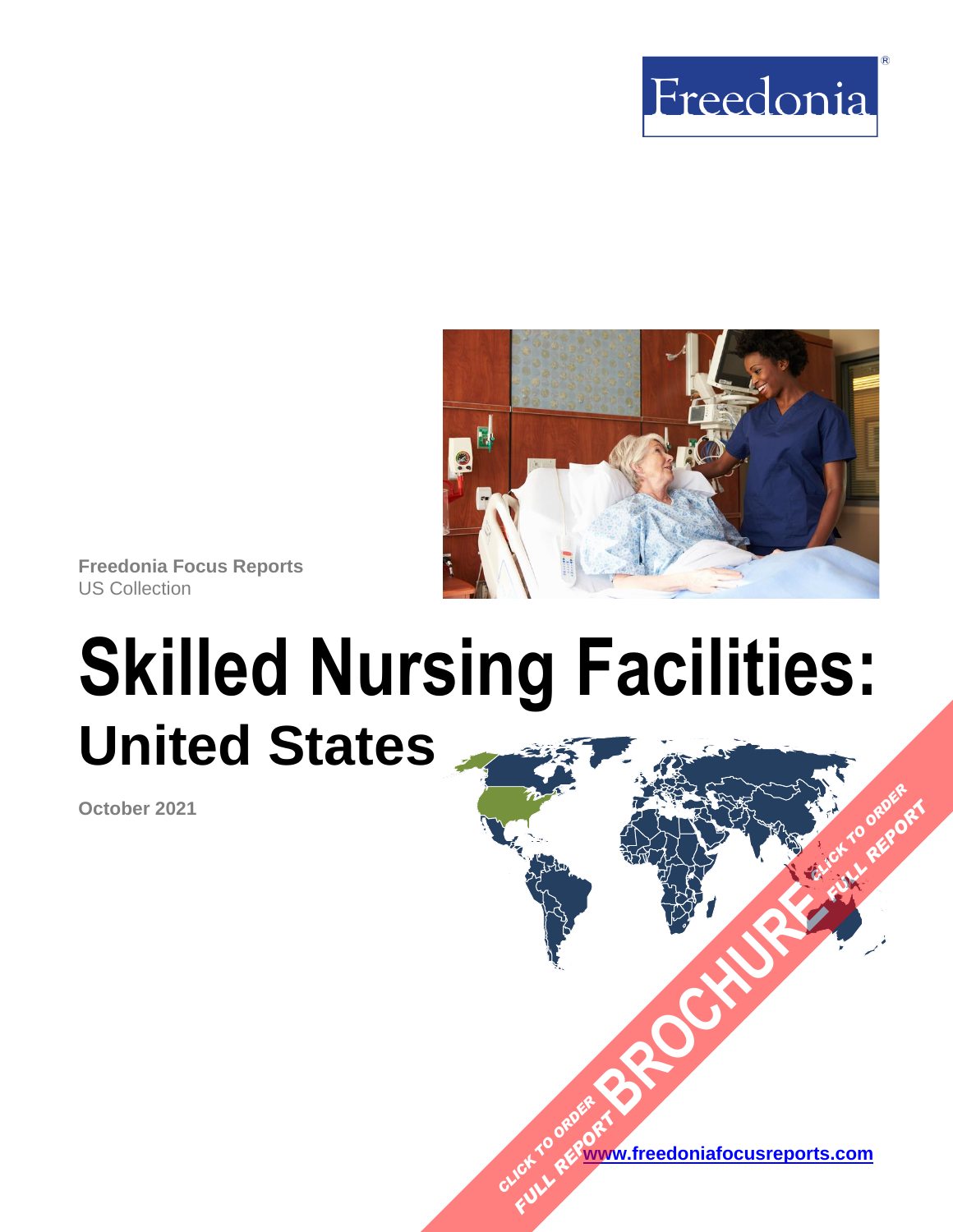



**Freedonia Focus Reports** US Collection

# **Skilled Nursing Facilities: United States**

**October 2021**

**[www.freedoniafocusreports.com](https://www.freedoniafocusreports.com/redirect.asp?progid=89534&url=/)** CLICK TO ORDER **FULL REPORT** 

**[BROCHURE](https://www.freedoniafocusreports.com/Skilled-Nursing-Facilities-United-States-FF40050/?progid=89541) CLICK TO ORDER** 

**FULL REPORT**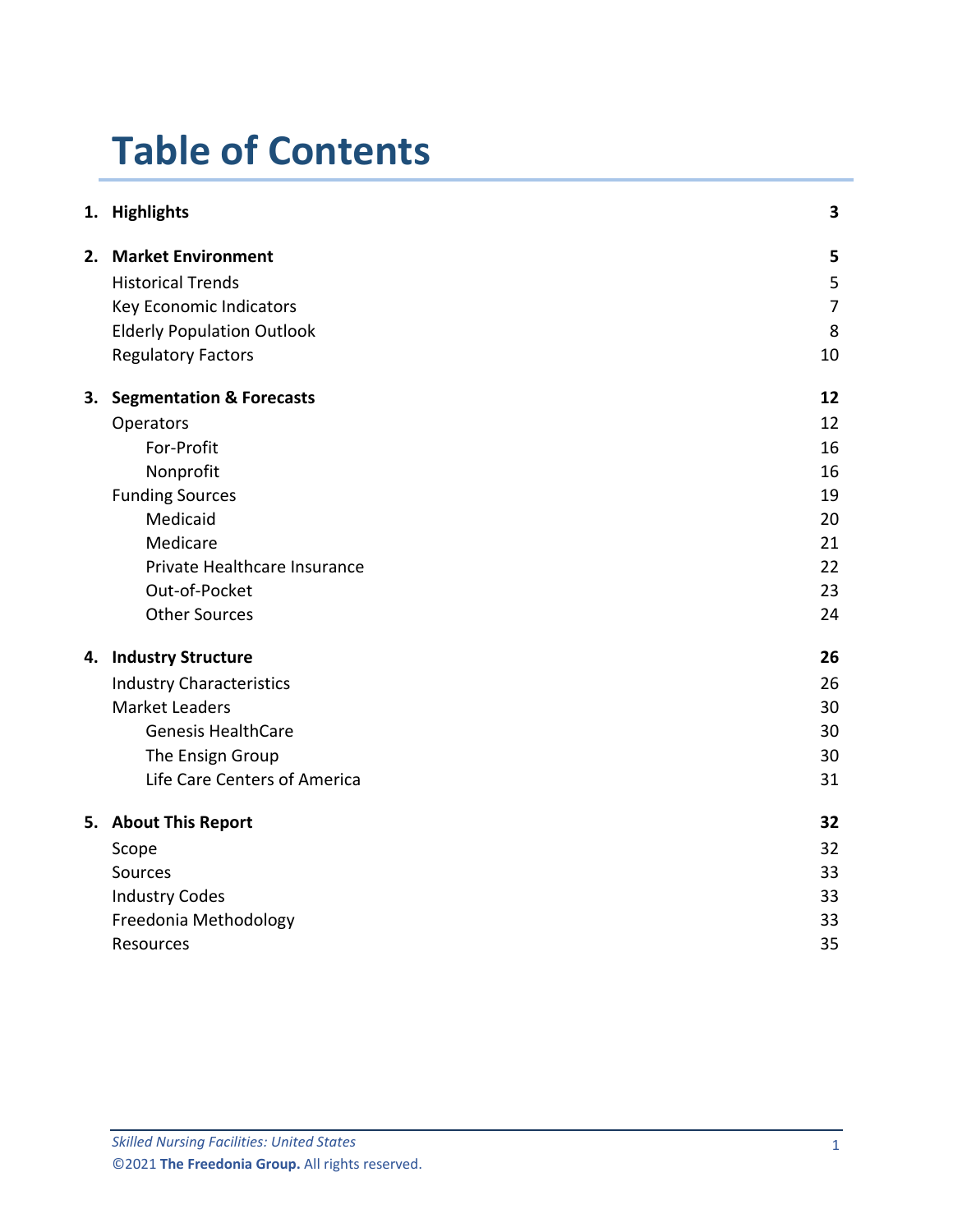# **Table of Contents**

|    | 1. Highlights                       | 3              |
|----|-------------------------------------|----------------|
|    | 2. Market Environment               | 5              |
|    | <b>Historical Trends</b>            | 5              |
|    | Key Economic Indicators             | $\overline{7}$ |
|    | <b>Elderly Population Outlook</b>   | 8              |
|    | <b>Regulatory Factors</b>           | 10             |
| 3. | <b>Segmentation &amp; Forecasts</b> | 12             |
|    | Operators                           | 12             |
|    | For-Profit                          | 16             |
|    | Nonprofit                           | 16             |
|    | <b>Funding Sources</b>              | 19             |
|    | Medicaid                            | 20             |
|    | Medicare                            | 21             |
|    | Private Healthcare Insurance        | 22             |
|    | Out-of-Pocket                       | 23             |
|    | <b>Other Sources</b>                | 24             |
|    | 4. Industry Structure               | 26             |
|    | <b>Industry Characteristics</b>     | 26             |
|    | <b>Market Leaders</b>               | 30             |
|    | <b>Genesis HealthCare</b>           | 30             |
|    | The Ensign Group                    | 30             |
|    | Life Care Centers of America        | 31             |
|    | 5. About This Report                | 32             |
|    | Scope                               | 32             |
|    | Sources                             | 33             |
|    | <b>Industry Codes</b>               | 33             |
|    | Freedonia Methodology               | 33             |
|    | Resources                           | 35             |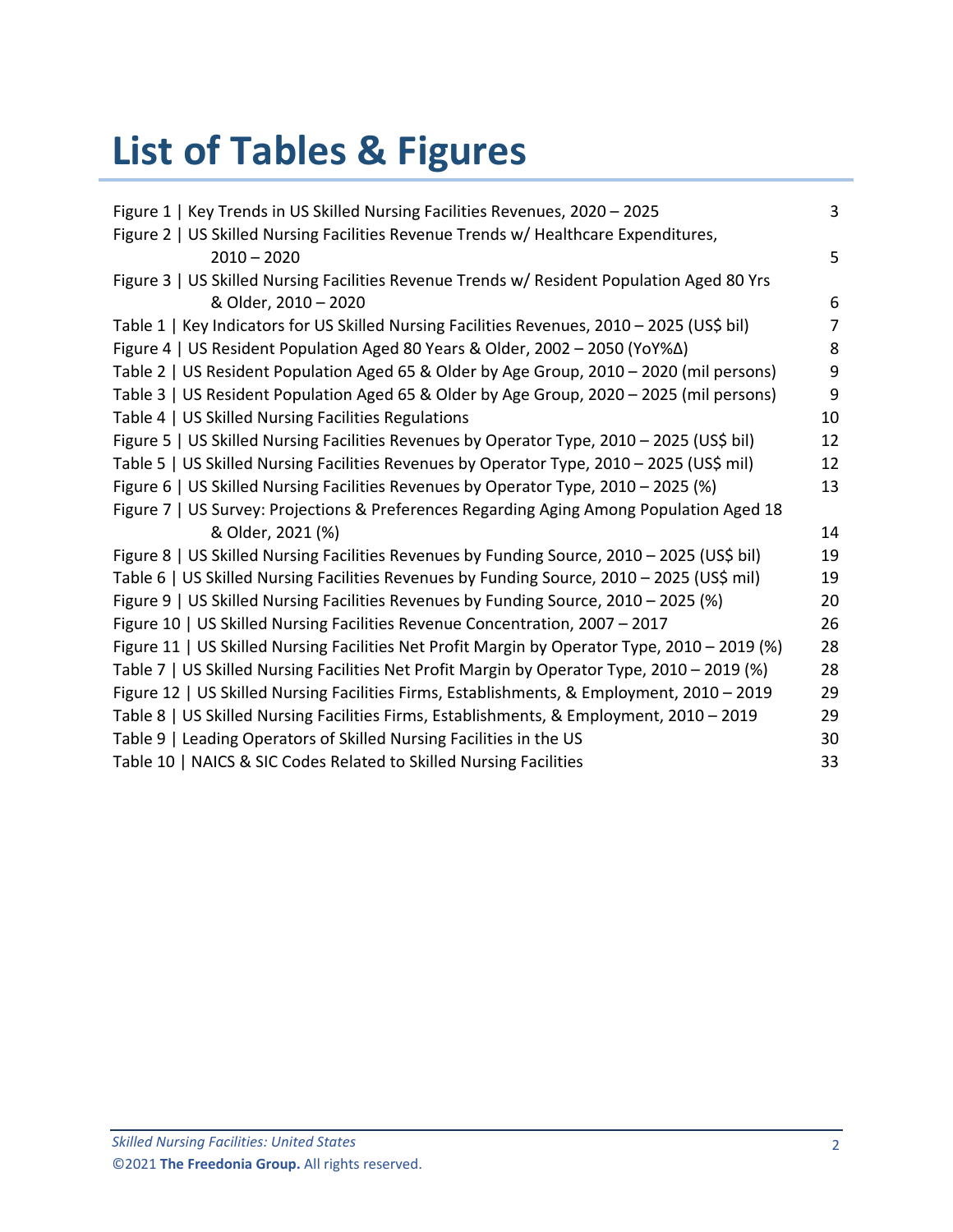# **List of Tables & Figures**

| Figure 1   Key Trends in US Skilled Nursing Facilities Revenues, 2020 - 2025                  | 3              |
|-----------------------------------------------------------------------------------------------|----------------|
| Figure 2   US Skilled Nursing Facilities Revenue Trends w/ Healthcare Expenditures,           |                |
|                                                                                               |                |
| $2010 - 2020$                                                                                 | 5              |
| Figure 3   US Skilled Nursing Facilities Revenue Trends w/ Resident Population Aged 80 Yrs    |                |
| & Older, 2010 - 2020                                                                          | 6              |
| Table 1   Key Indicators for US Skilled Nursing Facilities Revenues, 2010 - 2025 (US\$ bil)   | $\overline{7}$ |
| Figure 4   US Resident Population Aged 80 Years & Older, 2002 - 2050 (YoY%∆)                  | 8              |
| Table 2   US Resident Population Aged 65 & Older by Age Group, 2010 - 2020 (mil persons)      | 9              |
| Table 3   US Resident Population Aged 65 & Older by Age Group, 2020 - 2025 (mil persons)      | 9              |
| Table 4   US Skilled Nursing Facilities Regulations                                           | 10             |
| Figure 5   US Skilled Nursing Facilities Revenues by Operator Type, 2010 - 2025 (US\$ bil)    | 12             |
| Table 5   US Skilled Nursing Facilities Revenues by Operator Type, 2010 - 2025 (US\$ mil)     | 12             |
| Figure 6   US Skilled Nursing Facilities Revenues by Operator Type, 2010 - 2025 (%)           | 13             |
| Figure 7   US Survey: Projections & Preferences Regarding Aging Among Population Aged 18      |                |
| & Older, 2021 (%)                                                                             | 14             |
| Figure 8   US Skilled Nursing Facilities Revenues by Funding Source, 2010 - 2025 (US\$ bil)   | 19             |
| Table 6   US Skilled Nursing Facilities Revenues by Funding Source, 2010 - 2025 (US\$ mil)    | 19             |
| Figure 9   US Skilled Nursing Facilities Revenues by Funding Source, 2010 - 2025 (%)          | 20             |
| Figure 10   US Skilled Nursing Facilities Revenue Concentration, 2007 - 2017                  | 26             |
| Figure 11   US Skilled Nursing Facilities Net Profit Margin by Operator Type, 2010 - 2019 (%) | 28             |
| Table 7   US Skilled Nursing Facilities Net Profit Margin by Operator Type, 2010 - 2019 (%)   | 28             |
| Figure 12   US Skilled Nursing Facilities Firms, Establishments, & Employment, 2010 - 2019    | 29             |
| Table 8   US Skilled Nursing Facilities Firms, Establishments, & Employment, 2010 - 2019      | 29             |
| Table 9   Leading Operators of Skilled Nursing Facilities in the US                           | 30             |
| Table 10   NAICS & SIC Codes Related to Skilled Nursing Facilities                            | 33             |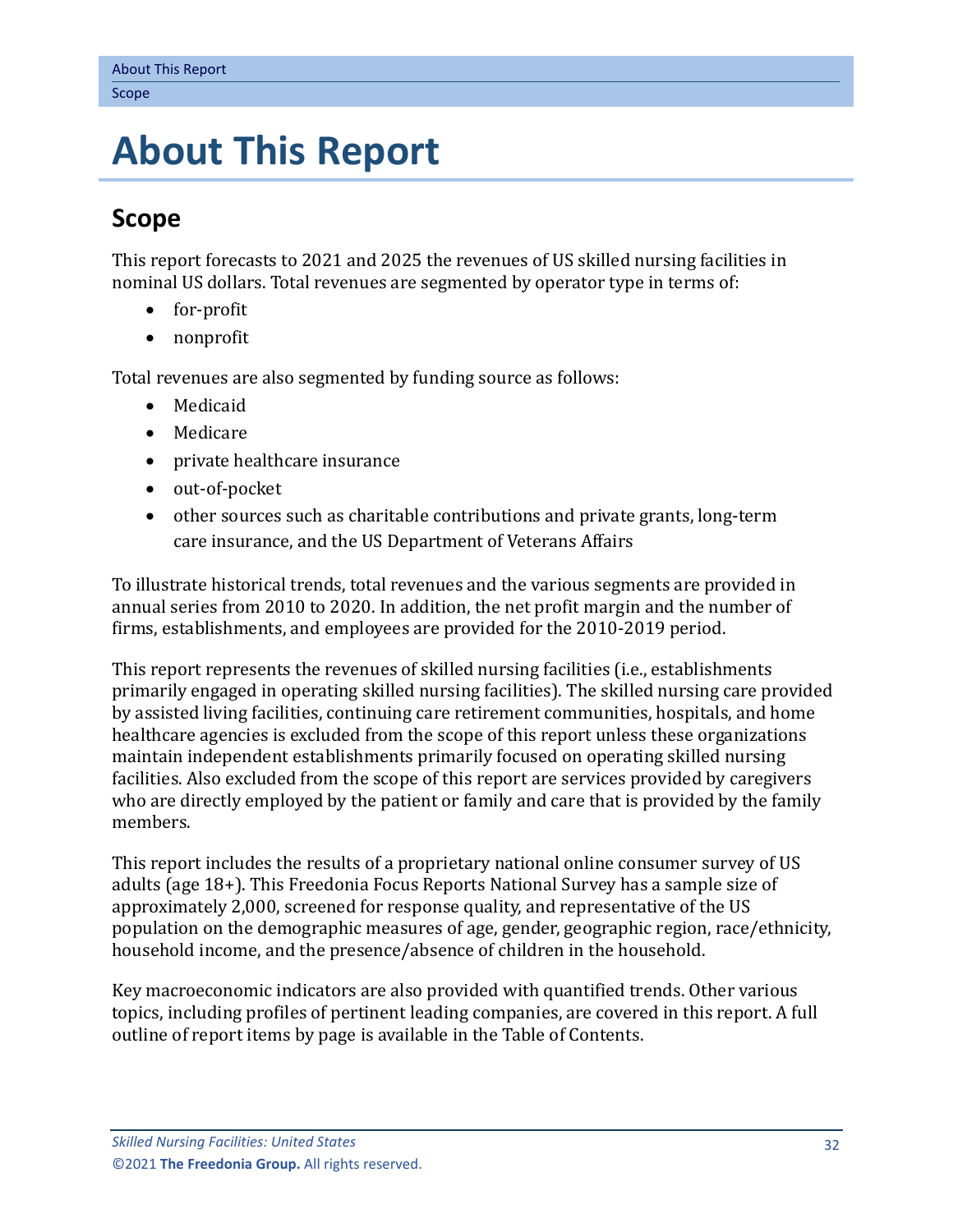# <span id="page-3-0"></span>**5. About This Report**

# <span id="page-3-1"></span>**Scope**

This report forecasts to 2021 and 2025 the revenues of US skilled nursing facilities in nominal US dollars. Total revenues are segmented by operator type in terms of:

- for-profit
- nonprofit

Total revenues are also segmented by funding source as follows:

- Medicaid
- Medicare
- private healthcare insurance
- out-of-pocket
- other sources such as charitable contributions and private grants, long-term care insurance, and the US Department of Veterans Affairs

To illustrate historical trends, total revenues and the various segments are provided in annual series from 2010 to 2020. In addition, the net profit margin and the number of firms, establishments, and employees are provided for the 2010-2019 period.

This report represents the revenues of skilled nursing facilities (i.e., establishments primarily engaged in operating skilled nursing facilities). The skilled nursing care provided by assisted living facilities, continuing care retirement communities, hospitals, and home healthcare agencies is excluded from the scope of this report unless these organizations maintain independent establishments primarily focused on operating skilled nursing facilities. Also excluded from the scope of this report are services provided by caregivers who are directly employed by the patient or family and care that is provided by the family members.

This report includes the results of a proprietary national online consumer survey of US adults (age 18+). This Freedonia Focus Reports National Survey has a sample size of approximately 2,000, screened for response quality, and representative of the US population on the demographic measures of age, gender, geographic region, race/ethnicity, household income, and the presence/absence of children in the household.

Key macroeconomic indicators are also provided with quantified trends. Other various topics, including profiles of pertinent leading companies, are covered in this report. A full outline of report items by page is available in the Table of Contents.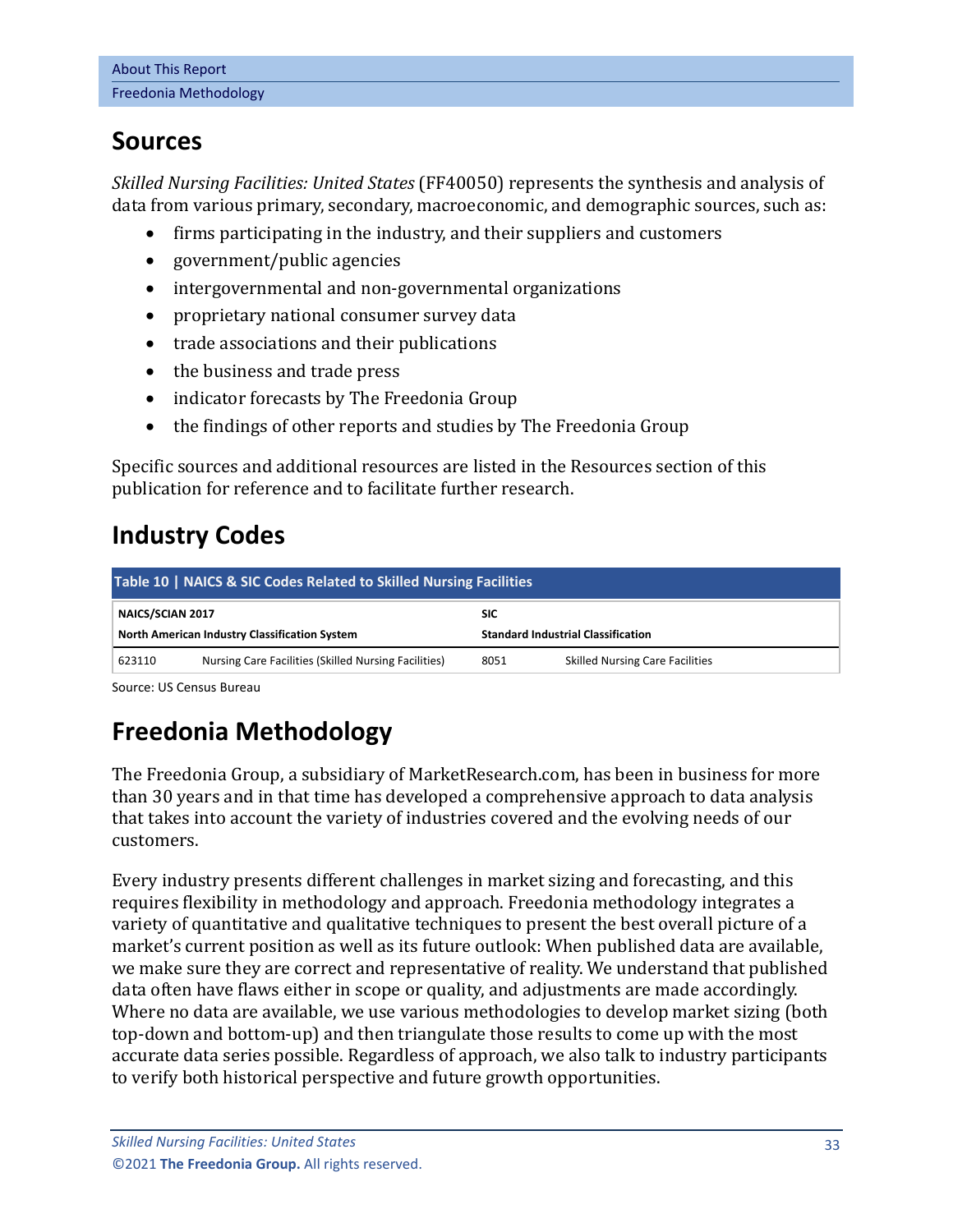### <span id="page-4-0"></span>**Sources**

*Skilled Nursing Facilities: United States* (FF40050) represents the synthesis and analysis of data from various primary, secondary, macroeconomic, and demographic sources, such as:

- firms participating in the industry, and their suppliers and customers
- government/public agencies
- intergovernmental and non-governmental organizations
- proprietary national consumer survey data
- trade associations and their publications
- the business and trade press
- indicator forecasts by The Freedonia Group
- the findings of other reports and studies by The Freedonia Group

Specific sources and additional resources are listed in the Resources section of this publication for reference and to facilitate further research.

# <span id="page-4-1"></span>**Industry Codes**

<span id="page-4-3"></span>

| Table 10   NAICS & SIC Codes Related to Skilled Nursing Facilities |                                                      |                                                         |                                        |  |  |  |  |
|--------------------------------------------------------------------|------------------------------------------------------|---------------------------------------------------------|----------------------------------------|--|--|--|--|
| NAICS/SCIAN 2017<br>North American Industry Classification System  |                                                      | <b>SIC</b><br><b>Standard Industrial Classification</b> |                                        |  |  |  |  |
| 623110                                                             | Nursing Care Facilities (Skilled Nursing Facilities) | 8051                                                    | <b>Skilled Nursing Care Facilities</b> |  |  |  |  |

Source: US Census Bureau

# <span id="page-4-2"></span>**Freedonia Methodology**

The Freedonia Group, a subsidiary of MarketResearch.com, has been in business for more than 30 years and in that time has developed a comprehensive approach to data analysis that takes into account the variety of industries covered and the evolving needs of our customers.

Every industry presents different challenges in market sizing and forecasting, and this requires flexibility in methodology and approach. Freedonia methodology integrates a variety of quantitative and qualitative techniques to present the best overall picture of a market's current position as well as its future outlook: When published data are available, we make sure they are correct and representative of reality. We understand that published data often have flaws either in scope or quality, and adjustments are made accordingly. Where no data are available, we use various methodologies to develop market sizing (both top-down and bottom-up) and then triangulate those results to come up with the most accurate data series possible. Regardless of approach, we also talk to industry participants to verify both historical perspective and future growth opportunities.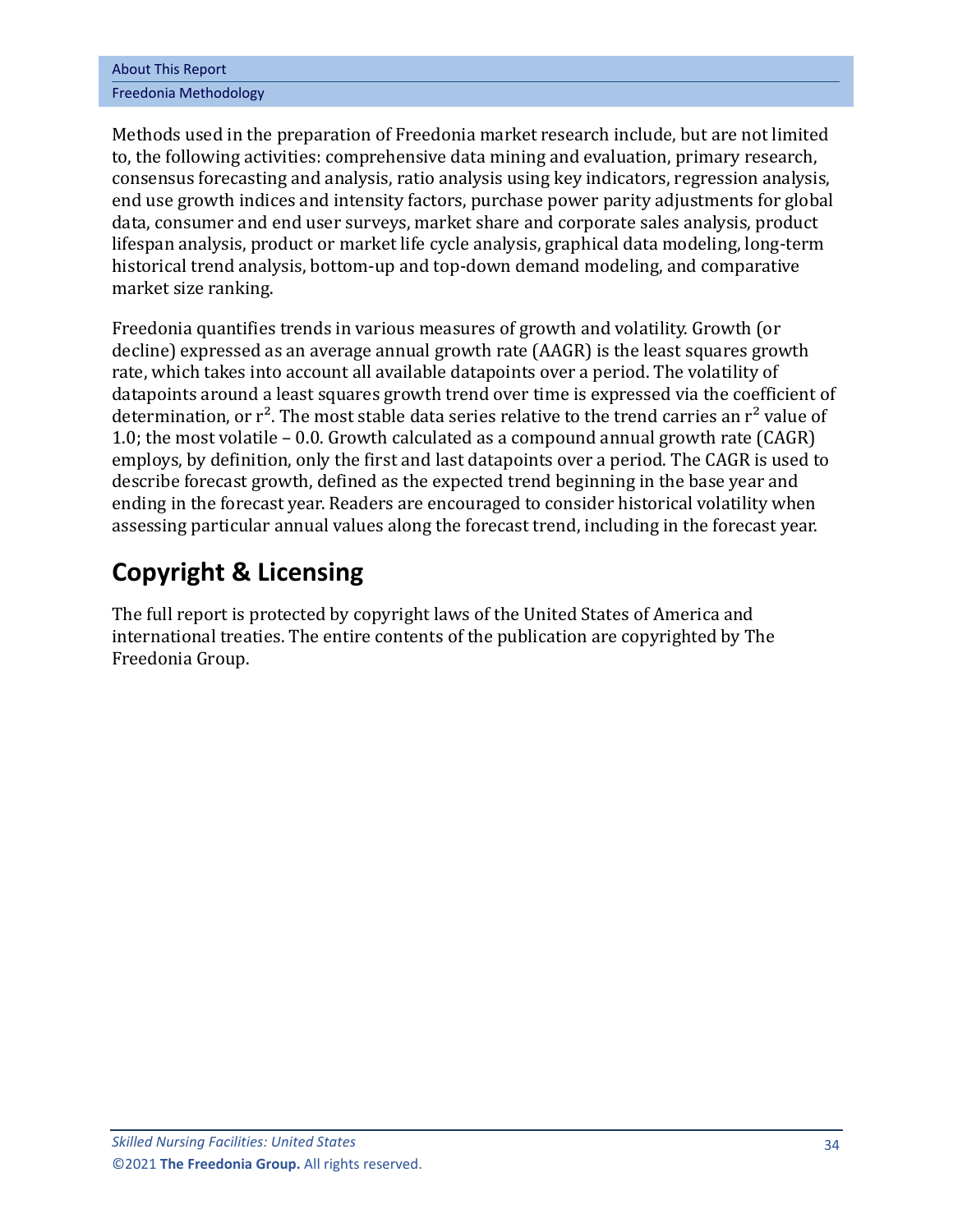| <b>About This Report</b> |
|--------------------------|
| Freedonia Methodology    |

Methods used in the preparation of Freedonia market research include, but are not limited to, the following activities: comprehensive data mining and evaluation, primary research, consensus forecasting and analysis, ratio analysis using key indicators, regression analysis, end use growth indices and intensity factors, purchase power parity adjustments for global data, consumer and end user surveys, market share and corporate sales analysis, product lifespan analysis, product or market life cycle analysis, graphical data modeling, long-term historical trend analysis, bottom-up and top-down demand modeling, and comparative market size ranking.

Freedonia quantifies trends in various measures of growth and volatility. Growth (or decline) expressed as an average annual growth rate (AAGR) is the least squares growth rate, which takes into account all available datapoints over a period. The volatility of datapoints around a least squares growth trend over time is expressed via the coefficient of determination, or  $r^2$ . The most stable data series relative to the trend carries an  $r^2$  value of 1.0; the most volatile – 0.0. Growth calculated as a compound annual growth rate (CAGR) employs, by definition, only the first and last datapoints over a period. The CAGR is used to describe forecast growth, defined as the expected trend beginning in the base year and ending in the forecast year. Readers are encouraged to consider historical volatility when assessing particular annual values along the forecast trend, including in the forecast year.

# **Copyright & Licensing**

The full report is protected by copyright laws of the United States of America and international treaties. The entire contents of the publication are copyrighted by The Freedonia Group.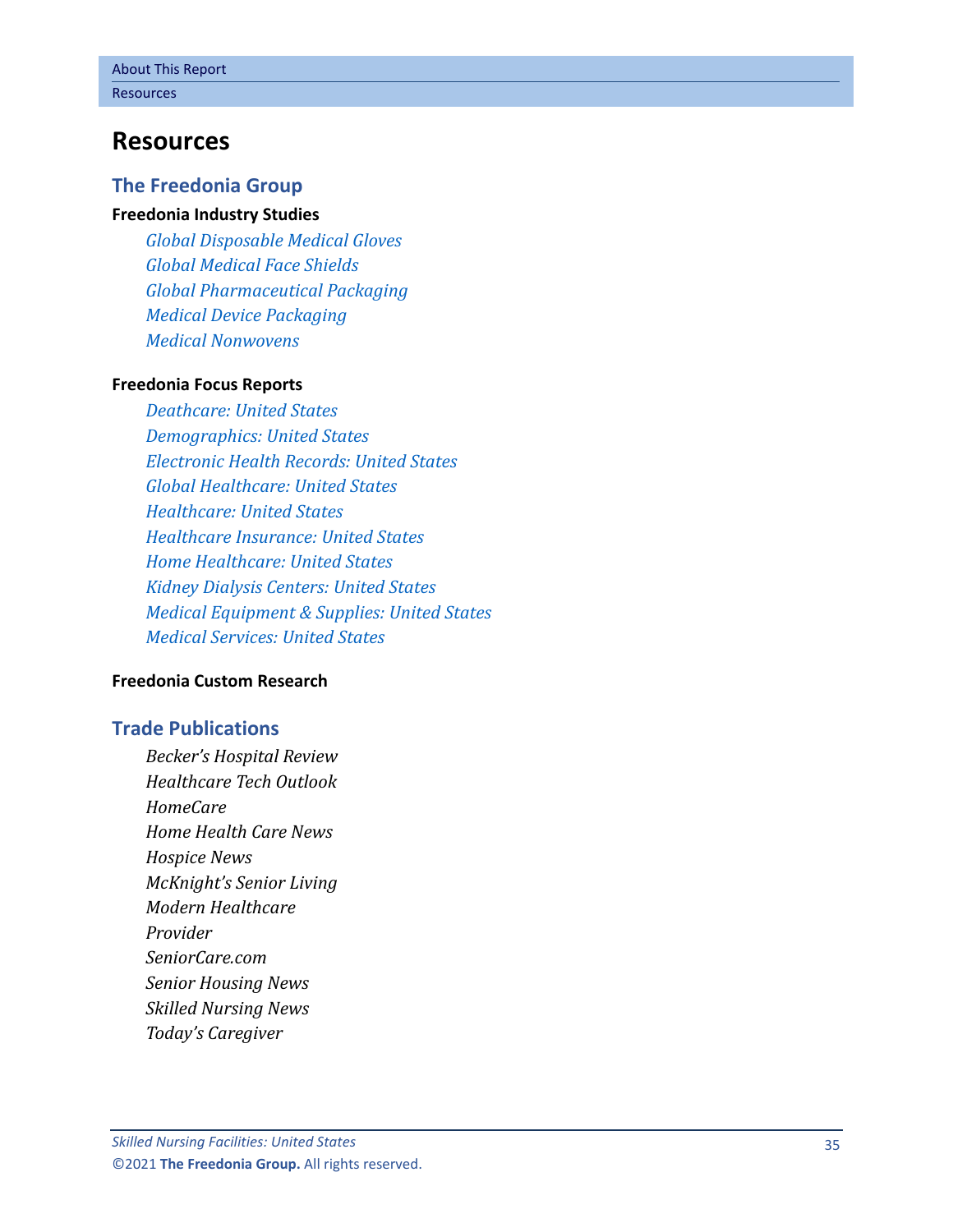### <span id="page-6-0"></span>**Resources**

#### **The Freedonia Group**

#### **[Freedonia Industry Studies](http://www.freedoniagroup.com/Home.aspx?ReferrerId=FL-Focus)**

*[Global Disposable Medical Gloves](http://www.freedoniagroup.com/DocumentDetails.aspx?ReferrerId=FL-FOCUS&studyid=3861) [Global Medical Face Shields](http://www.freedoniagroup.com/DocumentDetails.aspx?ReferrerId=FL-FOCUS&studyid=3869) [Global Pharmaceutical Packaging](http://www.freedoniagroup.com/DocumentDetails.aspx?ReferrerId=FL-FOCUS&studyid=3758) [Medical Device Packaging](http://www.freedoniagroup.com/DocumentDetails.aspx?ReferrerId=FL-FOCUS&studyid=3782) [Medical Nonwovens](http://www.freedoniagroup.com/DocumentDetails.aspx?ReferrerId=FL-FOCUS&studyid=3911)*

#### **[Freedonia Focus Reports](https://www.freedoniafocusreports.com/redirect.asp?progid=89534&url=/)**

*[Deathcare: United States](https://www.freedoniafocusreports.com/Deathcare-United-States-FF95065/?progid=89534) [Demographics: United States](https://www.freedoniafocusreports.com/Demographics-United-States-FF95050/?progid=89534) [Electronic Health Records: United States](https://www.freedoniafocusreports.com/Electronic-Health-Records-United-States-FF40065/?progid=89534) [Global Healthcare: United States](https://www.freedoniafocusreports.com/Global-Healthcare-FW40017/?progid=89534) [Healthcare: United States](https://www.freedoniafocusreports.com/Healthcare-United-States-FF40017/?progid=89534) [Healthcare Insurance: United States](https://www.freedoniafocusreports.com/Healthcare-Insurance-United-States-FF95013/?progid=89534) [Home Healthcare: United States](https://www.freedoniafocusreports.com/Home-Healthcare-United-States-FF40055/?progid=89534) [Kidney Dialysis Centers: United States](https://www.freedoniafocusreports.com/Kidney-Dialysis-Centers-United-States-FF40084/?progid=89534) [Medical Equipment & Supplies: United States](https://www.freedoniafocusreports.com/Medical-Equipment-Supplies-United-States-FF40018/?progid=89534) [Medical Services: United States](https://www.freedoniafocusreports.com/Medical-Services-United-States-FF95014/?progid=89534)*

#### **[Freedonia Custom Research](http://www.freedoniagroup.com/CustomResearch.aspx?ReferrerId=FL-Focus)**

#### **Trade Publications**

*Becker's Hospital Review Healthcare Tech Outlook HomeCare Home Health Care News Hospice News McKnight's Senior Living Modern Healthcare Provider SeniorCare.com Senior Housing News Skilled Nursing News Today's Caregiver*